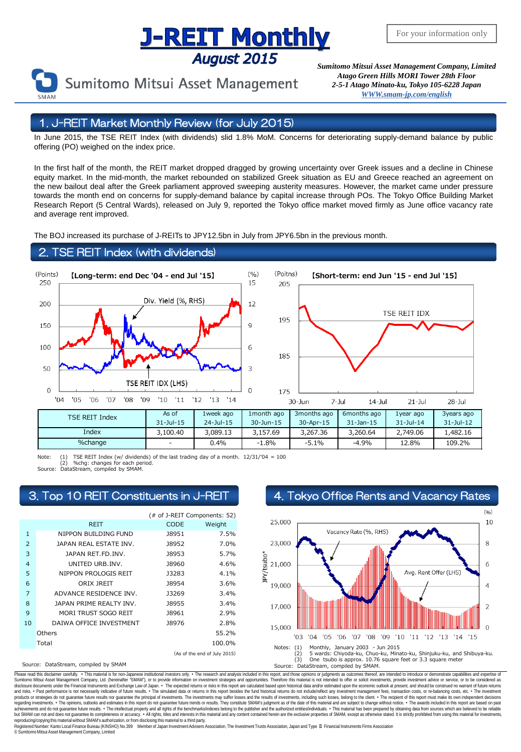# **Supering The Monthly**<br>*Sumitomo Mitsui Asset Management Company, Limited*

Sumitomo Mitsui Asset Management

*Atago Green Hills MORI Tower 28th Floor 2-5-1 Atago Minato-ku, Tokyo 105-6228 Japa[n](mailto:English@smam-jp.com) [WWW.smam-jp.com/english](http://www.smam-jp.com/english)*

## 1. J-REIT Market Monthly Review (for July 2015)

In June 2015, the TSE REIT Index (with dividends) slid 1.8% MoM. Concerns for deteriorating supply-demand balance by public offering (PO) weighed on the index price.

In the first half of the month, the REIT market dropped dragged by growing uncertainty over Greek issues and a decline in Chinese equity market. In the mid-month, the market rebounded on stabilized Greek situation as EU and Greece reached an agreement on the new bailout deal after the Greek parliament approved sweeping austerity measures. However, the market came under pressure towards the month end on concerns for supply-demand balance by capital increase through POs. The Tokyo Office Building Market Research Report (5 Central Wards), released on July 9, reported the Tokyo office market moved firmly as June office vacancy rate and average rent improved.

The BOJ increased its purchase of J-REITs to JPY12.5bn in July from JPY6.5bn in the previous month.

## TSE REIT Index (with dividends)



Note: (1) TSE REIT Index (w/ dividends) of the last trading day of a month. 12/31/'04 = 100<br>(2) %chg: changes for each period.<br>Source: DataStream. compiled by SMAM.

(2) %chg: changes for each period. Source: DataStream, compiled by SMAM.

|                |                              | (# of J-REIT Components: 52) |         |  |  |  |
|----------------|------------------------------|------------------------------|---------|--|--|--|
|                | <b>REIT</b>                  | CODE                         | Weight  |  |  |  |
| $\mathbf{1}$   | NIPPON BUILDING FUND         | <b>J8951</b>                 | 7.5%    |  |  |  |
| $\mathcal{P}$  | JAPAN REAL ESTATE INV.       | 18952                        | 7.0%    |  |  |  |
| 3              | JAPAN RET.FD.INV.            | 18953                        | 5.7%    |  |  |  |
| $\overline{4}$ | UNITED URB.INV.              | 18960                        | 4.6%    |  |  |  |
| 5              | NIPPON PROLOGIS REIT         | 13283                        | $4.1\%$ |  |  |  |
| 6              | ORIX JREIT                   | 18954                        | 3.6%    |  |  |  |
| 7              | ADVANCE RESIDENCE INV.       | 13269                        | 3.4%    |  |  |  |
| 8              | JAPAN PRIME REALTY INV.      | 18955                        | 3.4%    |  |  |  |
| 9              | MORI TRUST SOGO REIT         | 18961                        | 2.9%    |  |  |  |
| 10             | DAIWA OFFICE INVESTMENT      | 18976                        | 2.8%    |  |  |  |
|                | Others                       |                              | 55.2%   |  |  |  |
|                | Total                        |                              | 100.0%  |  |  |  |
|                | (As of the end of July 2015) |                              |         |  |  |  |

Source: DataStream, compiled by SMAM

3. Top 10 REIT Constituents in J-REIT 4. Tokyo Office Rents and Vacancy Rates



Please read this disclaimer carefuly. • This material is for non-Japanese institutional investors only. • The research and analysis included in this report, and those opinions or judgments as outcomes thereof, are intended disclosure documents under the Financial Instruments and Exchange Law of Japan. • The expected relums or risks in this report are calculated based upon historial data and/or estimated upon the economic outlook at present, products or strategies do not guarantee future results nor guarantee the principal of investments. The investments may suffer losses and the results of investments, including such losses, belong to the client. . The recipi regarding investments. • The opinions, outlooks and estimates in this report do not guarantee future trends or results. They constitute SMAM's judgment as of the date of this material and are subject to change without noti reproducing/copying this material without SMAM's authorization, or from disclosing this material to a third party

egistered Number: Kanto Local Finance Bureau (KINSHO) No.399 Member of Japan Investment Advisers Association, The Investment Trusts Association, Japan and Type Ⅱ Financial Instruments Firms Association © SumitomoMitsui Asset Management Company, Limited